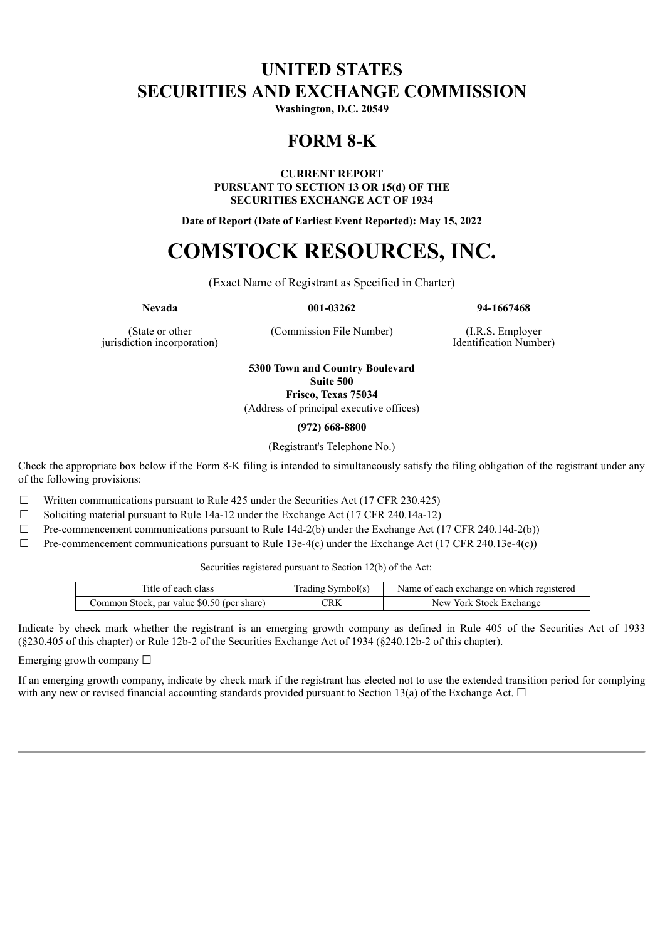## **UNITED STATES SECURITIES AND EXCHANGE COMMISSION**

**Washington, D.C. 20549**

## **FORM 8-K**

**CURRENT REPORT PURSUANT TO SECTION 13 OR 15(d) OF THE SECURITIES EXCHANGE ACT OF 1934**

**Date of Report (Date of Earliest Event Reported): May 15, 2022**

# **COMSTOCK RESOURCES, INC.**

(Exact Name of Registrant as Specified in Charter)

**Nevada 001-03262 94-1667468**

(State or other jurisdiction incorporation) (Commission File Number) (I.R.S. Employer

Identification Number)

**5300 Town and Country Boulevard Suite 500 Frisco, Texas 75034**

(Address of principal executive offices)

**(972) 668-8800**

(Registrant's Telephone No.)

Check the appropriate box below if the Form 8-K filing is intended to simultaneously satisfy the filing obligation of the registrant under any of the following provisions:

 $\Box$  Written communications pursuant to Rule 425 under the Securities Act (17 CFR 230.425)

☐ Soliciting material pursuant to Rule 14a-12 under the Exchange Act (17 CFR 240.14a-12)

 $\Box$  Pre-commencement communications pursuant to Rule 14d-2(b) under the Exchange Act (17 CFR 240.14d-2(b))

 $\Box$  Pre-commencement communications pursuant to Rule 13e-4(c) under the Exchange Act (17 CFR 240.13e-4(c))

Securities registered pursuant to Section 12(b) of the Act:

| Title of each class                        | Trading Symbol(s) | Name of each exchange on which registered |
|--------------------------------------------|-------------------|-------------------------------------------|
| Common Stock, par value \$0.50 (per share) | CRK               | New York Stock Exchange                   |

Indicate by check mark whether the registrant is an emerging growth company as defined in Rule 405 of the Securities Act of 1933 (§230.405 of this chapter) or Rule 12b-2 of the Securities Exchange Act of 1934 (§240.12b-2 of this chapter).

Emerging growth company  $\Box$ 

If an emerging growth company, indicate by check mark if the registrant has elected not to use the extended transition period for complying with any new or revised financial accounting standards provided pursuant to Section 13(a) of the Exchange Act.  $\Box$